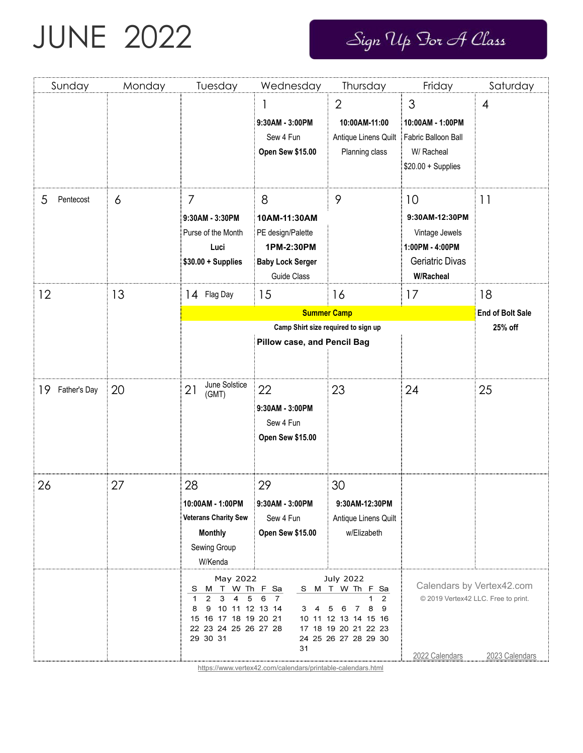## JUNE 2022

Sign Up For A Class

| Sunday          | Monday | Tuesday                                                                                                                                                         | Wednesday                                                                                                                                                       | Thursday                                                                                             | Friday                                                                                           | Saturday        |
|-----------------|--------|-----------------------------------------------------------------------------------------------------------------------------------------------------------------|-----------------------------------------------------------------------------------------------------------------------------------------------------------------|------------------------------------------------------------------------------------------------------|--------------------------------------------------------------------------------------------------|-----------------|
|                 |        |                                                                                                                                                                 | 9:30AM - 3:00PM<br>Sew 4 Fun<br><b>Open Sew \$15.00</b>                                                                                                         | $\overline{2}$<br>10:00AM-11:00<br>Antique Linens Quilt<br>Planning class                            | 3<br>10:00AM - 1:00PM<br>Fabric Balloon Ball<br>W/ Racheal<br>$$20.00 +$ Supplies                | $\overline{4}$  |
| Pentecost<br>5  | 6      | 7<br>9:30AM - 3:30PM<br>Purse of the Month<br>Luci<br>$$30.00 +$ Supplies                                                                                       | 8<br>10AM-11:30AM<br>PE design/Palette<br>1PM-2:30PM<br><b>Baby Lock Serger</b><br>Guide Class                                                                  | 9                                                                                                    | 10<br>9:30AM-12:30PM<br>Vintage Jewels<br>1:00PM - 4:00PM<br>Geriatric Divas<br><b>W/Racheal</b> | $\overline{11}$ |
| 12              | 13     | 14 Flag Day                                                                                                                                                     | 18<br><b>End of Bolt Sale</b><br>25% off                                                                                                                        |                                                                                                      |                                                                                                  |                 |
| 19 Father's Day | 20     | June Solstice<br>21<br>(GMT)                                                                                                                                    | 22<br>9:30AM - 3:00PM<br>Sew 4 Fun<br><b>Open Sew \$15.00</b>                                                                                                   | 23                                                                                                   | 24                                                                                               | 25              |
| 26              | 27     | 28<br>10:00AM - 1:00PM<br><b>Veterans Charity Sew</b><br><b>Monthly</b><br>Sewing Group<br>W/Kenda                                                              | 29<br>9:30AM - 3:00PM<br>Sew 4 Fun<br><b>Open Sew \$15.00</b>                                                                                                   | 30<br>9:30AM-12:30PM<br>Antique Linens Quilt<br>w/Elizabeth                                          |                                                                                                  |                 |
|                 |        | May 2022<br>M T<br>s<br>$\overline{2}$<br>5<br>3<br>4<br>$\mathbf 1$<br>10 11 12 13 14<br>8<br>9<br>16 17 18 19 20 21<br>15<br>22 23 24 25 26 27 28<br>29 30 31 | <b>July 2022</b><br>W Th F Sa<br>S M T W Th F Sa<br>6<br>$\overline{7}$<br>3<br>4<br>10 11 12 13 14 15 16<br>17 18 19 20 21 22 23<br>24 25 26 27 28 29 30<br>31 | Calendars by Vertex42.com<br>© 2019 Vertex42 LLC. Free to print.<br>2022 Calendars<br>2023 Calendars |                                                                                                  |                 |

<https://www.vertex42.com/calendars/printable-calendars.html>